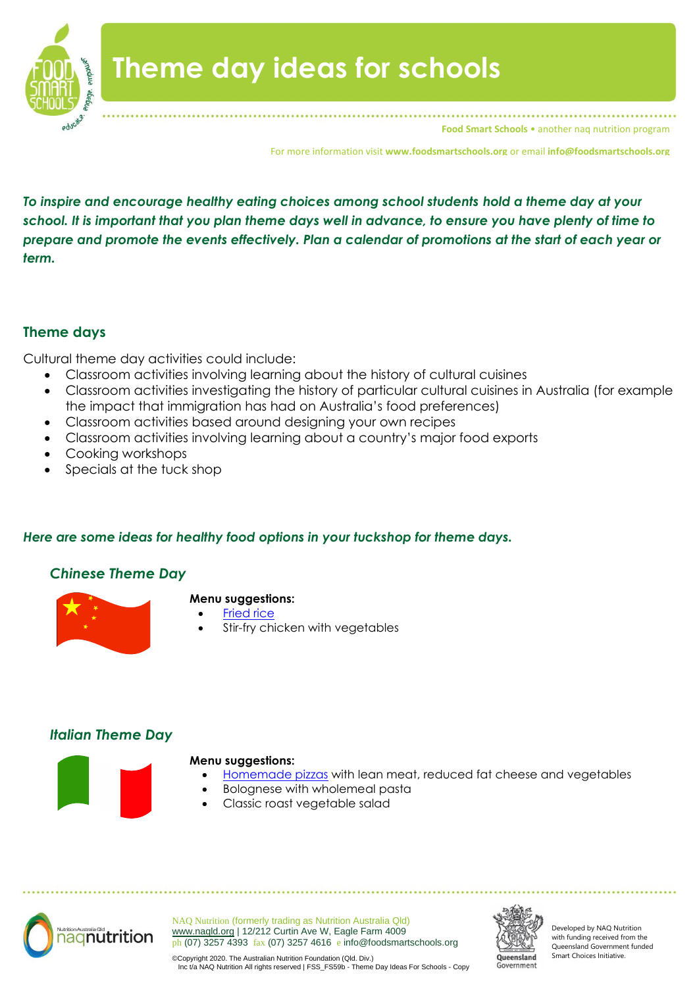

**Food Smart Schools • another nag nutrition program** 

For more information visit **www.foodsmartschools.org** or email **info@foodsmartschools.org**

*To inspire and encourage healthy eating choices among school students hold a theme day at your school. It is important that you plan theme days well in advance, to ensure you have plenty of time to prepare and promote the events effectively. Plan a calendar of promotions at the start of each year or term.*

# **Theme days**

Cultural theme day activities could include:

- Classroom activities involving learning about the history of cultural cuisines
- Classroom activities investigating the history of particular cultural cuisines in Australia (for example the impact that immigration has had on Australia's food preferences)
- Classroom activities based around designing your own recipes
- Classroom activities involving learning about a country's major food exports
- Cooking workshops
- Specials at the tuck shop

## *Here are some ideas for healthy food options in your tuckshop for theme days.*

# *Chinese Theme Day*



### **Menu suggestions:**

- **[Fried rice](https://d2ktlgllpgl04o.cloudfront.net/wp-content/uploads/2014/09/12140124/FSS_Rec41a-Fried-Rice1.pdf)**
- Stir-fry chicken with vegetables

# *Italian Theme Day*



#### **Menu suggestions:**

- [Homemade pizzas](https://d2ktlgllpgl04o.cloudfront.net/wp-content/uploads/2014/09/12140317/FSS_REC28d-pizza-slabs.pdf) with lean meat, reduced fat cheese and vegetables
- Bolognese with wholemeal pasta
- Classic roast vegetable salad



NAQ Nutrition (formerly trading as Nutrition Australia Qld) [www.naqld.org](http://www.naqld.org/) | 12/212 Curtin Ave W, Eagle Farm 4009 ph (07) 3257 4393 fax (07) 3257 4616 e info@foodsmartschools.org



Developed by NAQ Nutrition with funding received from the Queensland Government funded Smart Choices Initiative.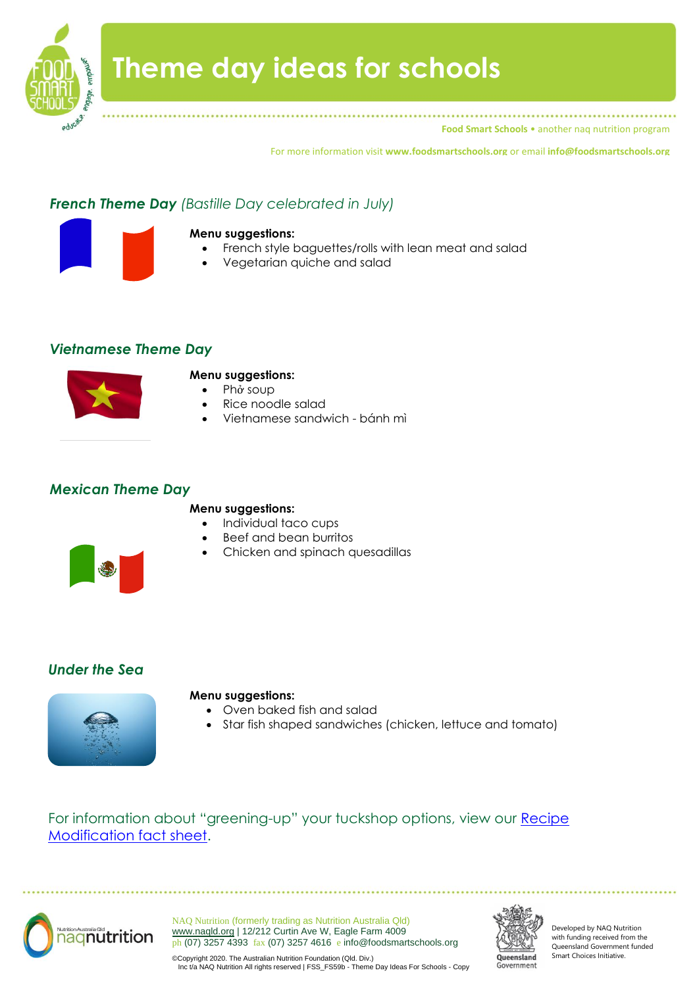

**Food Smart Schools** • another naq nutrition program

For more information visit **www.foodsmartschools.org** or email **info@foodsmartschools.org**

# *French Theme Day (Bastille Day celebrated in July)*



#### **Menu suggestions:**

- French style baguettes/rolls with lean meat and salad
- Vegetarian quiche and salad

## *Vietnamese Theme Day*



#### **Menu suggestions:**

- [Ph](http://en.wikipedia.org/wiki/Ph%E1%BB%9F)ở soup
- Rice noodle salad
- Vietnamese sandwich [bánh mì](http://en.wikipedia.org/wiki/B%C3%A1nh_m%C3%AC)

## *Mexican Theme Day*

#### **Menu suggestions:**

- Individual taco cups
- Beef and bean burritos
- Chicken and spinach quesadillas



## *Under the Sea*



#### **Menu suggestions:**

- Oven baked fish and salad
- Star fish shaped sandwiches (chicken, lettuce and tomato)

For information about "greening-up" your tuckshop options, view our [Recipe](https://d2ktlgllpgl04o.cloudfront.net/wp-content/uploads/2013/12/12132927/FSS_FS01j-Recipe-Modifications.pdf)  [Modification fact sheet.](https://d2ktlgllpgl04o.cloudfront.net/wp-content/uploads/2013/12/12132927/FSS_FS01j-Recipe-Modifications.pdf)



NAQ Nutrition (formerly trading as Nutrition Australia Qld) [www.naqld.org](http://www.naqld.org/) | 12/212 Curtin Ave W, Eagle Farm 4009 ph (07) 3257 4393 fax (07) 3257 4616 e info@foodsmartschools.org



Developed by NAQ Nutrition with funding received from the Queensland Government funded Smart Choices Initiative.

©Copyright 2020. The Australian Nutrition Foundation (Qld. Div.) Inc t/a NAQ Nutrition All rights reserved | FSS\_FS59b - Theme Day Ideas For Schools - Copy